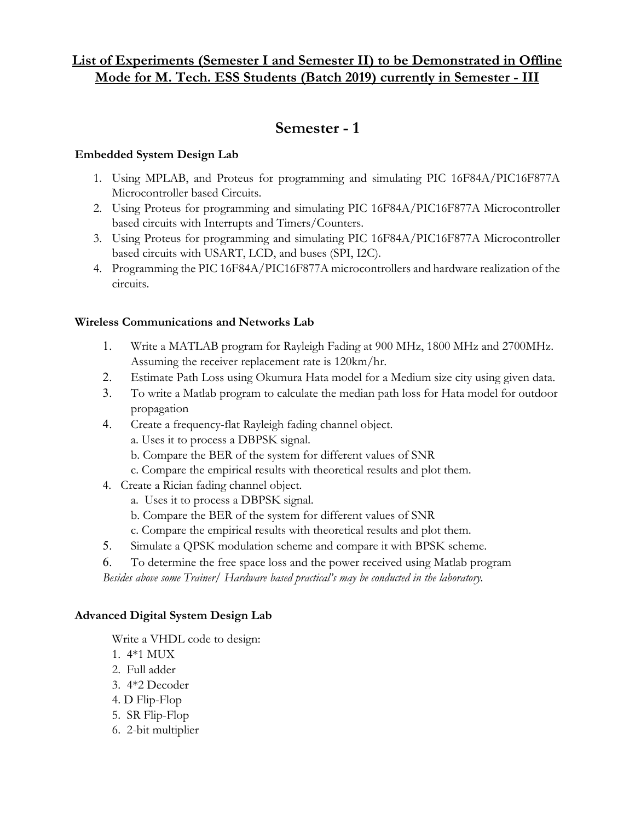# **List of Experiments (Semester I and Semester II) to be Demonstrated in Offline Mode for M. Tech. ESS Students (Batch 2019) currently in Semester - III**

# **Semester - 1**

## **Embedded System Design Lab**

- 1. Using MPLAB, and Proteus for programming and simulating PIC 16F84A/PIC16F877A Microcontroller based Circuits.
- 2. Using Proteus for programming and simulating PIC 16F84A/PIC16F877A Microcontroller based circuits with Interrupts and Timers/Counters.
- 3. Using Proteus for programming and simulating PIC 16F84A/PIC16F877A Microcontroller based circuits with USART, LCD, and buses (SPI, I2C).
- 4. Programming the PIC 16F84A/PIC16F877A microcontrollers and hardware realization of the circuits.

## **Wireless Communications and Networks Lab**

- 1. Write a MATLAB program for Rayleigh Fading at 900 MHz, 1800 MHz and 2700MHz. Assuming the receiver replacement rate is 120km/hr.
- 2. Estimate Path Loss using Okumura Hata model for a Medium size city using given data.
- 3. To write a Matlab program to calculate the median path loss for Hata model for outdoor propagation
- 4. Create a frequency-flat Rayleigh fading channel object.
	- a. Uses it to process a DBPSK signal.
	- b. Compare the BER of the system for different values of SNR
	- c. Compare the empirical results with theoretical results and plot them.
- 4. Create a Rician fading channel object.
	- a. Uses it to process a DBPSK signal.
	- b. Compare the BER of the system for different values of SNR
	- c. Compare the empirical results with theoretical results and plot them.
- 5. Simulate a QPSK modulation scheme and compare it with BPSK scheme.
- 6. To determine the free space loss and the power received using Matlab program

*Besides above some Trainer/ Hardware based practical's may be conducted in the laboratory.* 

#### **Advanced Digital System Design Lab**

Write a VHDL code to design:

- 1. 4\*1 MUX
- 2. Full adder
- 3. 4\*2 Decoder
- 4. D Flip-Flop
- 5. SR Flip-Flop
- 6. 2-bit multiplier